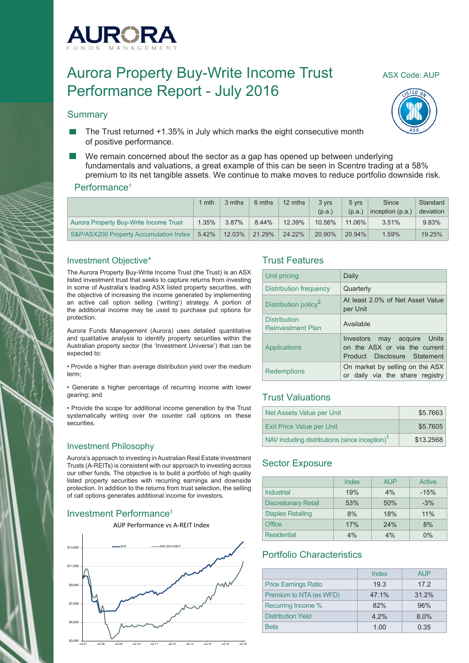

# Aurora Property Buy-Write Income Trust ASX Code: AUP Performance Report - July 2016

#### **Summary**





- The Trust returned +1.35% in July which marks the eight consecutive month of positive performance.
- We remain concerned about the sector as a gap has opened up between underlying fundamentals and valuations, a great example of this can be seen in Scentre trading at a 58% premium to its net tangible assets. We continue to make moves to reduce portfolio downside risk.

#### Performance<sup>1</sup>

|                                        | 1 mth    | 3 mths | 6 mths | 12 mths | 3 vrs<br>(p.a.) | 5 vrs<br>(p.a.) | Since<br>inception (p.a.) | Standard<br>deviation |
|----------------------------------------|----------|--------|--------|---------|-----------------|-----------------|---------------------------|-----------------------|
| Aurora Property Buy-Write Income Trust | 1.35%    | 3.87%  | 8.44%  | 12.39%  | 10.56%          | 11.06%          | 3.51%                     | 9.83%                 |
| S&P/ASX200 Property Accumulation Index | $5.42\%$ | 12.03% | 21.29% | 24.22%  | 20.90%          | 20.94%          | 1.59%                     | 19.25%                |

#### Investment Objective\*

The Aurora Property Buy-Write Income Trust (the Trust) is an ASX listed investment trust that seeks to capture returns from investing in some of Australia's leading ASX listed property securities, with the objective of increasing the income generated by implementing an active call option selling ('writing') strategy. A portion of the additional income may be used to purchase put options for protection.

Aurora Funds Management (Aurora) uses detailed quantitative and qualitative analysis to identify property securities within the Australian property sector (the 'Investment Universe') that can be expected to:

• Provide a higher than average distribution yield over the medium term;

• Generate a higher percentage of recurring income with lower gearing; and

• Provide the scope for additional income generation by the Trust systematically writing over the counter call options on these securities.

#### Investment Philosophy

Aurora's approach to investing in Australian Real Estate Investment Trusts (A-REITs) is consistent with our approach to investing across our other funds. The objective is to build a portfolio of high quality listed property securities with recurring earnings and downside protection. In addition to the returns from trust selection, the selling of call options generates additional income for investors.

## Investment Performance<sup>1</sup>



#### Trust Features

| Unit pricing                                    | Daily                                                                                        |
|-------------------------------------------------|----------------------------------------------------------------------------------------------|
| Distribution frequency                          | Quarterly                                                                                    |
| Distribution policy <sup>2</sup>                | At least 2.0% of Net Asset Value<br>per Unit                                                 |
| <b>Distribution</b><br><b>Reinvestment Plan</b> | Available                                                                                    |
| Applications                                    | Investors may acquire Units<br>on the ASX or via the current<br>Product Disclosure Statement |
| <b>Redemptions</b>                              | On market by selling on the ASX<br>or daily via the share registry                           |

## Trust Valuations

| Net Assets Value per Unit                                  | \$5.7663  |
|------------------------------------------------------------|-----------|
| <b>Exit Price Value per Unit</b>                           | \$5.7605  |
| NAV including distributions (since inception) <sup>1</sup> | \$13,2568 |

## Sector Exposure

|                             | Index | <b>AUP</b> | Active |
|-----------------------------|-------|------------|--------|
| Industrial                  | 19%   | 4%         | $-15%$ |
| <b>Discretionary Retail</b> | 53%   | 50%        | $-3%$  |
| <b>Staples Retailing</b>    | 8%    | 18%        | 11%    |
| Office                      | 17%   | 24%        | 8%     |
| <b>Residential</b>          | 4%    | 4%         | $0\%$  |

## Portfolio Characteristics

|                             | Index   | AUP <sup></sup> |
|-----------------------------|---------|-----------------|
| <b>Price Earnings Ratio</b> | 19.3    | 17.2            |
| Premium to NTA (ex WFD)     | 47.1%   | 31.2%           |
| Recurring Income %          | 82%     | 96%             |
| Distribution Yield          | $4.2\%$ | 8.0%            |
| <b>Beta</b>                 | 1.00    | 0.35            |